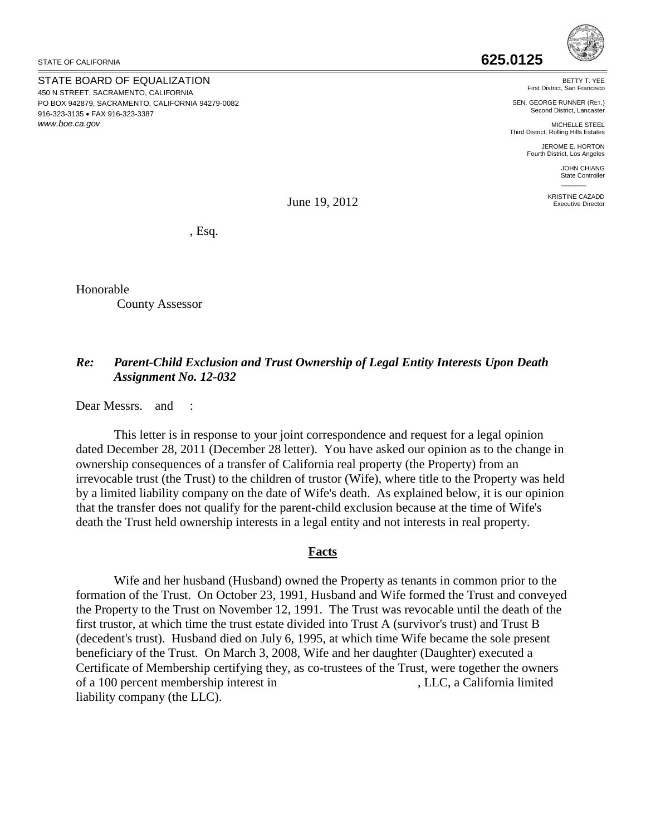STATE OF CALIFORNIA

STATE BOARD OF EQUALIZATION 450 N STREET, SACRAMENTO, CALIFORNIA PO BOX 942879, SACRAMENTO, CALIFORNIA 94279-0082 916-323-3135 • FAX 916-323-3387 *<www.boe.ca.gov>*

BETTY T. YEE First District, San Francisco

SEN. GEORGE RUNNER (RET.) Second District, Lancaster

MICHELLE STEEL Third District, Rolling Hills Estates

JEROME E. HORTON Fourth District, Los Angeles

> JOHN CHIANG State Controller \_\_\_\_\_\_\_

KRISTINE CAZADD Executive Director

June 19, 2012

, Esq.

Honorable County Assessor

## *Re: Parent-Child Exclusion and Trust Ownership of Legal Entity Interests Upon Death Assignment No. 12-032*

Dear Messrs. and :

 that the transfer does not qualify for the parent-child exclusion because at the time of Wife's death the Trust held ownership interests in a legal entity and not interests in real property. This letter is in response to your joint correspondence and request for a legal opinion dated December 28, 2011 (December 28 letter). You have asked our opinion as to the change in ownership consequences of a transfer of California real property (the Property) from an irrevocable trust (the Trust) to the children of trustor (Wife), where title to the Property was held by a limited liability company on the date of Wife's death. As explained below, it is our opinion

## **Facts**

 first trustor, at which time the trust estate divided into Trust A (survivor's trust) and Trust B Certificate of Membership certifying they, as co-trustees of the Trust, were together the owners of a 100 percent membership interest in , LLC, a California limited Wife and her husband (Husband) owned the Property as tenants in common prior to the formation of the Trust. On October 23, 1991, Husband and Wife formed the Trust and conveyed the Property to the Trust on November 12, 1991. The Trust was revocable until the death of the (decedent's trust). Husband died on July 6, 1995, at which time Wife became the sole present beneficiary of the Trust. On March 3, 2008, Wife and her daughter (Daughter) executed a liability company (the LLC).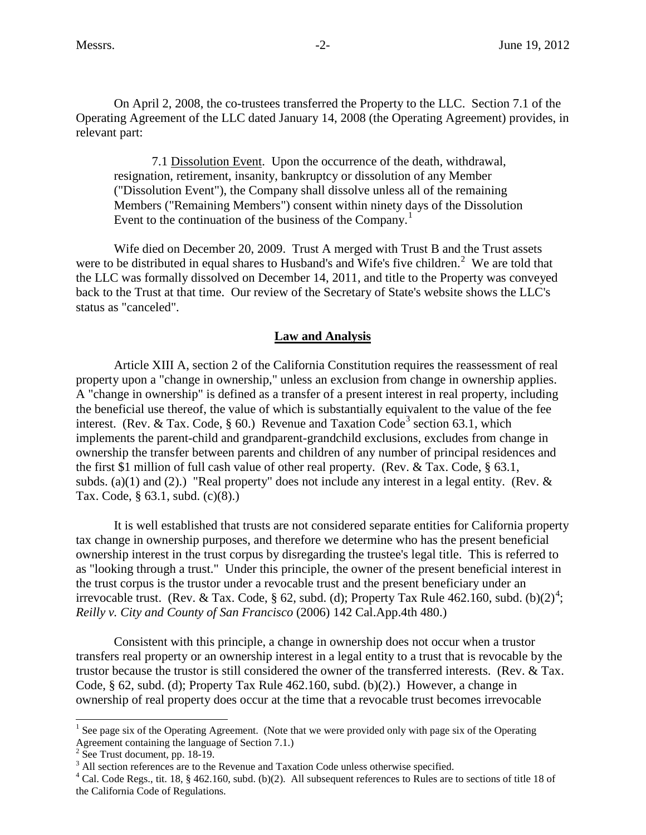Operating Agreement of the LLC dated January 14, 2008 (the Operating Agreement) provides, in On April 2, 2008, the co-trustees transferred the Property to the LLC. Section 7.1 of the relevant part:

7.1 Dissolution Event. Upon the occurrence of the death, withdrawal, resignation, retirement, insanity, bankruptcy or dissolution of any Member ("Dissolution Event"), the Company shall dissolve unless all of the remaining Members ("Remaining Members") consent within ninety days of the Dissolution Event to the continuation of the business of the Company.<sup>[1](#page-1-0)</sup>

were to be distributed in equal shares to Husband's and Wife's five children.<sup>[2](#page-1-1)</sup> We are told that Wife died on December 20, 2009. Trust A merged with Trust B and the Trust assets the LLC was formally dissolved on December 14, 2011, and title to the Property was conveyed back to the Trust at that time. Our review of the Secretary of State's website shows the LLC's status as "canceled".

## **Law and Analysis**

 Article XIII A, section 2 of the California Constitution requires the reassessment of real property upon a "change in ownership," unless an exclusion from change in ownership applies. the beneficial use thereof, the value of which is substantially equivalent to the value of the fee A "change in ownership" is defined as a transfer of a present interest in real property, including interest. (Rev. & Tax. Code, § 60.) Revenue and Taxation Code<sup>3</sup> section 63.1, which implements the parent-child and grandparent-grandchild exclusions, excludes from change in ownership the transfer between parents and children of any number of principal residences and the first \$1 million of full cash value of other real property. (Rev. & Tax. Code, § 63.1, subds. (a)(1) and (2).) "Real property" does not include any interest in a legal entity. (Rev.  $\&$ Tax. Code, § 63.1, subd. (c)(8).)

 as "looking through a trust." Under this principle, the owner of the present beneficial interest in It is well established that trusts are not considered separate entities for California property tax change in ownership purposes, and therefore we determine who has the present beneficial ownership interest in the trust corpus by disregarding the trustee's legal title. This is referred to the trust corpus is the trustor under a revocable trust and the present beneficiary under an irrevocable trust. (Rev. & Tax. Code, § 62, subd. (d); Property Tax Rule [4](#page-1-3)62.160, subd. (b)(2)<sup>4</sup>; *Reilly v. City and County of San Francisco* (2006) 142 Cal.App.4th 480.)

 Code, § 62, subd. (d); Property Tax Rule 462.160, subd. (b)(2).) However, a change in ownership of real property does occur at the time that a revocable trust becomes irrevocable Consistent with this principle, a change in ownership does not occur when a trustor transfers real property or an ownership interest in a legal entity to a trust that is revocable by the trustor because the trustor is still considered the owner of the transferred interests. (Rev. & Tax.

 $\overline{a}$ 

<span id="page-1-0"></span><sup>&</sup>lt;sup>1</sup> See page six of the Operating Agreement. (Note that we were provided only with page six of the Operating Agreement containing the language of Section 7.1.)<br> $2$  See Trust document, pp. 18-19.

<span id="page-1-2"></span><span id="page-1-1"></span>

 $3$  All section references are to the Revenue and Taxation Code unless otherwise specified.

<span id="page-1-3"></span><sup>4</sup> Cal. Code Regs., tit. 18, § 462.160, subd. (b)(2). All subsequent references to Rules are to sections of title 18 of the California Code of Regulations.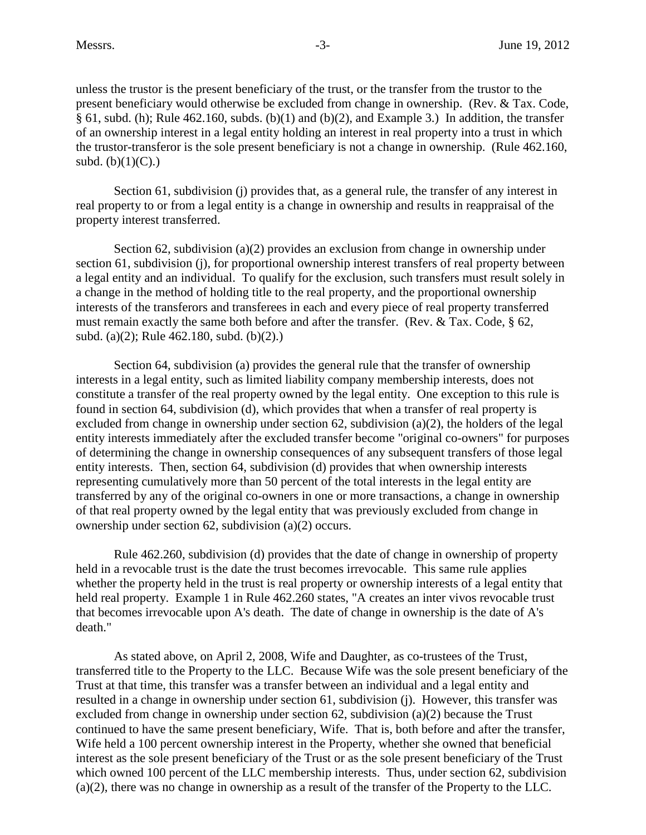$§ 61$ , subd. (h); Rule 462.160, subds. (b)(1) and (b)(2), and Example 3.) In addition, the transfer unless the trustor is the present beneficiary of the trust, or the transfer from the trustor to the present beneficiary would otherwise be excluded from change in ownership. (Rev. & Tax. Code, of an ownership interest in a legal entity holding an interest in real property into a trust in which the trustor-transferor is the sole present beneficiary is not a change in ownership. (Rule 462.160, subd.  $(b)(1)(C)$ .)

Section 61, subdivision (j) provides that, as a general rule, the transfer of any interest in property interest transferred. real property to or from a legal entity is a change in ownership and results in reappraisal of the

 interests of the transferors and transferees in each and every piece of real property transferred Section 62, subdivision (a)(2) provides an exclusion from change in ownership under section 61, subdivision (j), for proportional ownership interest transfers of real property between a legal entity and an individual. To qualify for the exclusion, such transfers must result solely in a change in the method of holding title to the real property, and the proportional ownership must remain exactly the same both before and after the transfer. (Rev. & Tax. Code, § 62, subd. (a)(2); Rule 462.180, subd. (b)(2).)

 constitute a transfer of the real property owned by the legal entity. One exception to this rule is entity interests immediately after the excluded transfer become "original co-owners" for purposes ownership under section 62, subdivision (a)(2) occurs. Section 64, subdivision (a) provides the general rule that the transfer of ownership interests in a legal entity, such as limited liability company membership interests, does not found in section 64, subdivision (d), which provides that when a transfer of real property is excluded from change in ownership under section 62, subdivision (a)(2), the holders of the legal of determining the change in ownership consequences of any subsequent transfers of those legal entity interests. Then, section 64, subdivision (d) provides that when ownership interests representing cumulatively more than 50 percent of the total interests in the legal entity are transferred by any of the original co-owners in one or more transactions, a change in ownership of that real property owned by the legal entity that was previously excluded from change in

Rule 462.260, subdivision (d) provides that the date of change in ownership of property held in a revocable trust is the date the trust becomes irrevocable. This same rule applies whether the property held in the trust is real property or ownership interests of a legal entity that held real property. Example 1 in Rule 462.260 states, "A creates an inter vivos revocable trust that becomes irrevocable upon A's death. The date of change in ownership is the date of A's death."

 transferred title to the Property to the LLC. Because Wife was the sole present beneficiary of the Trust at that time, this transfer was a transfer between an individual and a legal entity and (a)(2), there was no change in ownership as a result of the transfer of the Property to the LLC. As stated above, on April 2, 2008, Wife and Daughter, as co-trustees of the Trust, resulted in a change in ownership under section 61, subdivision (j). However, this transfer was excluded from change in ownership under section 62, subdivision (a)(2) because the Trust continued to have the same present beneficiary, Wife. That is, both before and after the transfer, Wife held a 100 percent ownership interest in the Property, whether she owned that beneficial interest as the sole present beneficiary of the Trust or as the sole present beneficiary of the Trust which owned 100 percent of the LLC membership interests. Thus, under section 62, subdivision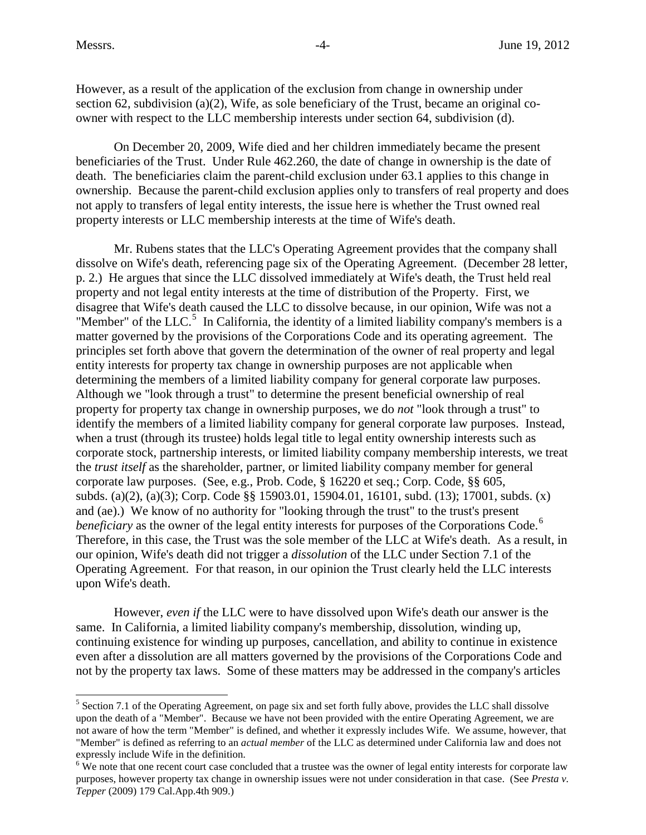$\overline{a}$ 

However, as a result of the application of the exclusion from change in ownership under section 62, subdivision (a)(2), Wife, as sole beneficiary of the Trust, became an original coowner with respect to the LLC membership interests under section 64, subdivision (d).

On December 20, 2009, Wife died and her children immediately became the present beneficiaries of the Trust. Under Rule 462.260, the date of change in ownership is the date of death. The beneficiaries claim the parent-child exclusion under 63.1 applies to this change in ownership. Because the parent-child exclusion applies only to transfers of real property and does not apply to transfers of legal entity interests, the issue here is whether the Trust owned real property interests or LLC membership interests at the time of Wife's death.

"Member" of the LLC. $5$  In California, the identity of a limited liability company's members is a determining the members of a limited liability company for general corporate law purposes. and (ae).) We know of no authority for "looking through the trust" to the trust's present *beneficiary* as the owner of the legal entity interests for purposes of the Corporations Code.<sup>6</sup> Therefore, in this case, the Trust was the sole member of the LLC at Wife's death. As a result, in our opinion, Wife's death did not trigger a *dissolution* of the LLC under Section 7.1 of the Mr. Rubens states that the LLC's Operating Agreement provides that the company shall dissolve on Wife's death, referencing page six of the Operating Agreement. (December 28 letter, p. 2.) He argues that since the LLC dissolved immediately at Wife's death, the Trust held real property and not legal entity interests at the time of distribution of the Property. First, we disagree that Wife's death caused the LLC to dissolve because, in our opinion, Wife was not a matter governed by the provisions of the Corporations Code and its operating agreement. The principles set forth above that govern the determination of the owner of real property and legal entity interests for property tax change in ownership purposes are not applicable when Although we "look through a trust" to determine the present beneficial ownership of real property for property tax change in ownership purposes, we do *not* "look through a trust" to identify the members of a limited liability company for general corporate law purposes. Instead, when a trust (through its trustee) holds legal title to legal entity ownership interests such as corporate stock, partnership interests, or limited liability company membership interests, we treat the *trust itself* as the shareholder, partner, or limited liability company member for general corporate law purposes. (See, e.g., Prob. Code, § 16220 et seq.; Corp. Code, §§ 605, subds. (a)(2), (a)(3); Corp. Code §§ [15903.01,](https://15903.01) [15904.01,](https://15904.01) 16101, subd. (13); 17001, subds. (x) Operating Agreement. For that reason, in our opinion the Trust clearly held the LLC interests upon Wife's death.

 However, *even if* the LLC were to have dissolved upon Wife's death our answer is the same. In California, a limited liability company's membership, dissolution, winding up, even after a dissolution are all matters governed by the provisions of the Corporations Code and continuing existence for winding up purposes, cancellation, and ability to continue in existence not by the property tax laws. Some of these matters may be addressed in the company's articles

<span id="page-3-0"></span> not aware of how the term "Member" is defined, and whether it expressly includes Wife. We assume, however, that <sup>5</sup> Section 7.1 of the Operating Agreement, on page six and set forth fully above, provides the LLC shall dissolve upon the death of a "Member". Because we have not been provided with the entire Operating Agreement, we are "Member" is defined as referring to an *actual member* of the LLC as determined under California law and does not expressly include Wife in the definition.

<span id="page-3-1"></span> purposes, however property tax change in ownership issues were not under consideration in that case. (See *Presta v.*  <sup>6</sup> We note that one recent court case concluded that a trustee was the owner of legal entity interests for corporate law *Tepper* (2009) 179 Cal.App.4th 909.)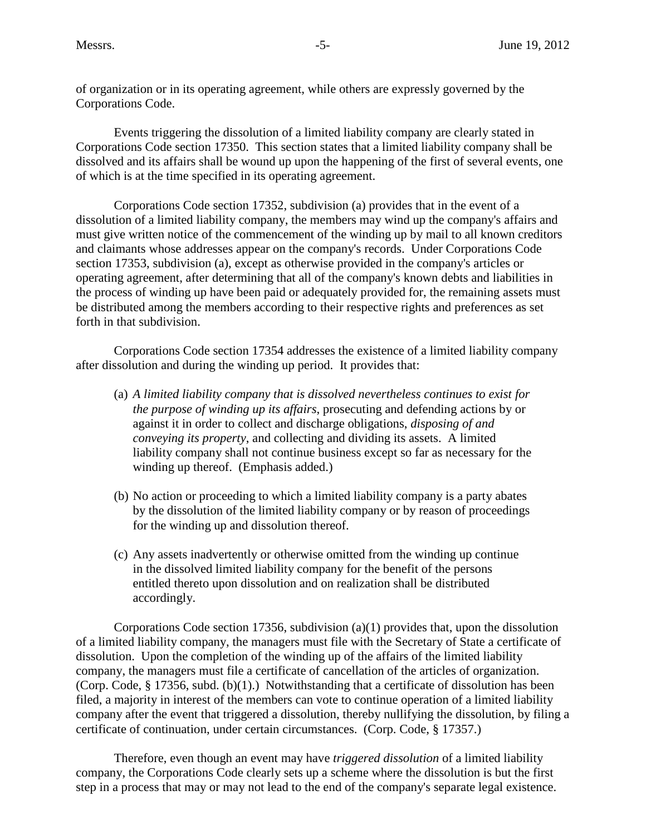of organization or in its operating agreement, while others are expressly governed by the Corporations Code.

Events triggering the dissolution of a limited liability company are clearly stated in Corporations Code section 17350. This section states that a limited liability company shall be dissolved and its affairs shall be wound up upon the happening of the first of several events, one of which is at the time specified in its operating agreement.

 dissolution of a limited liability company, the members may wind up the company's affairs and the process of winding up have been paid or adequately provided for, the remaining assets must be distributed among the members according to their respective rights and preferences as set Corporations Code section 17352, subdivision (a) provides that in the event of a must give written notice of the commencement of the winding up by mail to all known creditors and claimants whose addresses appear on the company's records. Under Corporations Code section 17353, subdivision (a), except as otherwise provided in the company's articles or operating agreement, after determining that all of the company's known debts and liabilities in forth in that subdivision.

Corporations Code section 17354 addresses the existence of a limited liability company after dissolution and during the winding up period. It provides that:

- (a) *A limited liability company that is dissolved nevertheless continues to exist for*  liability company shall not continue business except so far as necessary for the *the purpose of winding up its affairs*, prosecuting and defending actions by or against it in order to collect and discharge obligations, *disposing of and conveying its property*, and collecting and dividing its assets. A limited winding up thereof. (Emphasis added.)
- (b) No action or proceeding to which a limited liability company is a party abates by the dissolution of the limited liability company or by reason of proceedings for the winding up and dissolution thereof.
- (c) Any assets inadvertently or otherwise omitted from the winding up continue in the dissolved limited liability company for the benefit of the persons entitled thereto upon dissolution and on realization shall be distributed accordingly.

company, the managers must file a certificate of cancellation of the articles of organization. company, the managers must file a certificate of cancellation of the articles of organization. (Corp. Code, § 17356, subd. (b)(1).) Notwithstanding that a certificate of dissolution has been Corporations Code section 17356, subdivision (a)(1) provides that, upon the dissolution of a limited liability company, the managers must file with the Secretary of State a certificate of dissolution. Upon the completion of the winding up of the affairs of the limited liability filed, a majority in interest of the members can vote to continue operation of a limited liability company after the event that triggered a dissolution, thereby nullifying the dissolution, by filing a certificate of continuation, under certain circumstances. (Corp. Code, § 17357.)

 Therefore, even though an event may have *triggered dissolution* of a limited liability step in a process that may or may not lead to the end of the company's separate legal existence. company, the Corporations Code clearly sets up a scheme where the dissolution is but the first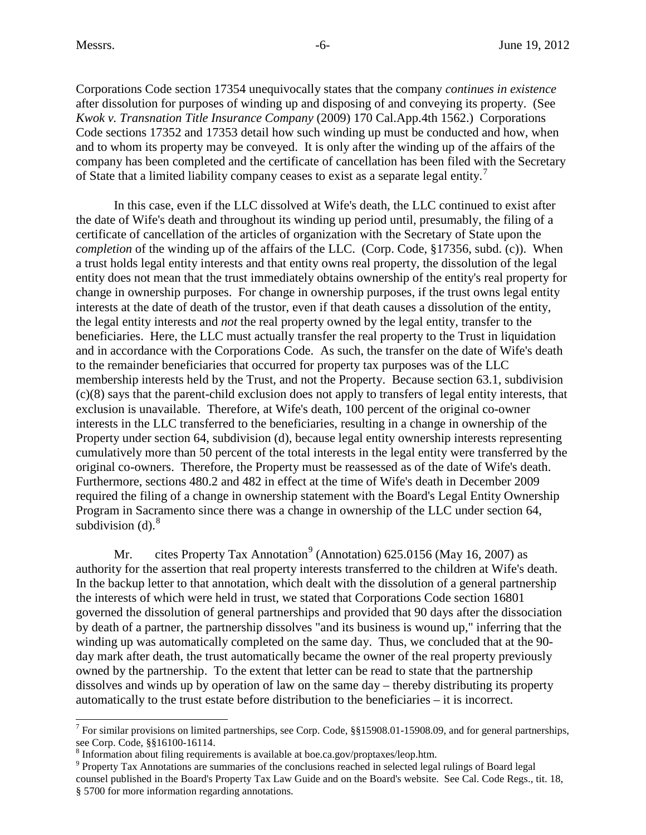$\overline{a}$ 

Corporations Code section 17354 unequivocally states that the company *continues in existence*  after dissolution for purposes of winding up and disposing of and conveying its property. (See *Kwok v. Transnation Title Insurance Company* (2009) 170 Cal.App.4th 1562.) Corporations Code sections 17352 and 17353 detail how such winding up must be conducted and how, when and to whom its property may be conveyed. It is only after the winding up of the affairs of the company has been completed and the certificate of cancellation has been filed with the Secretary of State that a limited liability company ceases to exist as a separate legal entity.<sup>[7](#page-5-0)</sup>

 the date of Wife's death and throughout its winding up period until, presumably, the filing of a change in ownership purposes. For change in ownership purposes, if the trust owns legal entity the legal entity interests and *not* the real property owned by the legal entity, transfer to the to the remainder beneficiaries that occurred for property tax purposes was of the LLC exclusion is unavailable. Therefore, at Wife's death, 100 percent of the original co-owner original co-owners. Therefore, the Property must be reassessed as of the date of Wife's death. required the filing of a change in ownership statement with the Board's Legal Entity Ownership Program in Sacramento since there was a change in ownership of the LLC under section 64, In this case, even if the LLC dissolved at Wife's death, the LLC continued to exist after certificate of cancellation of the articles of organization with the Secretary of State upon the *completion* of the winding up of the affairs of the LLC. (Corp. Code, §17356, subd. (c)). When a trust holds legal entity interests and that entity owns real property, the dissolution of the legal entity does not mean that the trust immediately obtains ownership of the entity's real property for interests at the date of death of the trustor, even if that death causes a dissolution of the entity, beneficiaries. Here, the LLC must actually transfer the real property to the Trust in liquidation and in accordance with the Corporations Code. As such, the transfer on the date of Wife's death membership interests held by the Trust, and not the Property. Because section 63.1, subdivision (c)(8) says that the parent-child exclusion does not apply to transfers of legal entity interests, that interests in the LLC transferred to the beneficiaries, resulting in a change in ownership of the Property under section 64, subdivision (d), because legal entity ownership interests representing cumulatively more than 50 percent of the total interests in the legal entity were transferred by the Furthermore, sections 480.2 and 482 in effect at the time of Wife's death in December 2009 subdivision  $(d)$ .<sup>8</sup>

 dissolves and winds up by operation of law on the same day – thereby distributing its property automatically to the trust estate before distribution to the beneficiaries – it is incorrect. Mr. cites Property Tax Annotation<sup>[9](#page-5-2)</sup> (Annotation) 625.0156 (May 16, 2007) as authority for the assertion that real property interests transferred to the children at Wife's death. In the backup letter to that annotation, which dealt with the dissolution of a general partnership the interests of which were held in trust, we stated that Corporations Code section 16801 governed the dissolution of general partnerships and provided that 90 days after the dissociation by death of a partner, the partnership dissolves "and its business is wound up," inferring that the winding up was automatically completed on the same day. Thus, we concluded that at the 90 day mark after death, the trust automatically became the owner of the real property previously owned by the partnership. To the extent that letter can be read to state that the partnership

<span id="page-5-0"></span><sup>&</sup>lt;sup>7</sup> For similar provisions on limited partnerships, see Corp. Code, §[§15908.01-15908.09](https://15908.01-15908.09), and for general partnerships, see Corp. Code, §§16100-16114.

<span id="page-5-2"></span>

<span id="page-5-1"></span> $\degree$  Information about filing requirements is available at [boe.ca.gov/proptaxes/leop.htm.](https://boe.ca.gov/proptaxes/leop.htm)<br> $\degree$  Property Tax Annotations are summaries of the conclusions reached in selected legal rulings of Board legal counsel published in the Board's Property Tax Law Guide and on the Board's website. See Cal. Code Regs., tit. 18, § 5700 for more information regarding annotations.